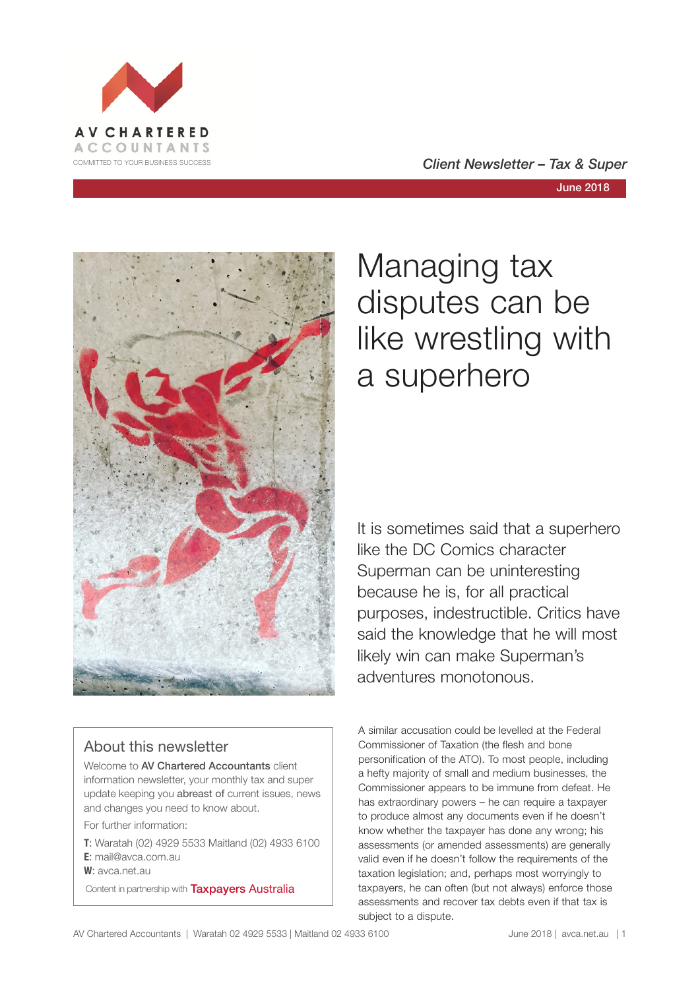

# June 2018



# About this newsletter

Welcome to AV Chartered Accountants client information newsletter, your monthly tax and super update keeping you abreast of current issues, news and changes you need to know about.

For further information:

**T**: Waratah (02) 4929 5533 Maitland (02) 4933 6100 **E**: mail@avca.com.au

**W**: avca.net.au

Content in partnership with **Taxpayers Australia** 

# Managing tax disputes can be like wrestling with a superhero

It is sometimes said that a superhero like the DC Comics character Superman can be uninteresting because he is, for all practical purposes, indestructible. Critics have said the knowledge that he will most likely win can make Superman's adventures monotonous.

A similar accusation could be levelled at the Federal Commissioner of Taxation (the flesh and bone personification of the ATO). To most people, including a hefty majority of small and medium businesses, the Commissioner appears to be immune from defeat. He has extraordinary powers – he can require a taxpayer to produce almost any documents even if he doesn't know whether the taxpayer has done any wrong; his assessments (or amended assessments) are generally valid even if he doesn't follow the requirements of the taxation legislation; and, perhaps most worryingly to taxpayers, he can often (but not always) enforce those assessments and recover tax debts even if that tax is subject to a dispute.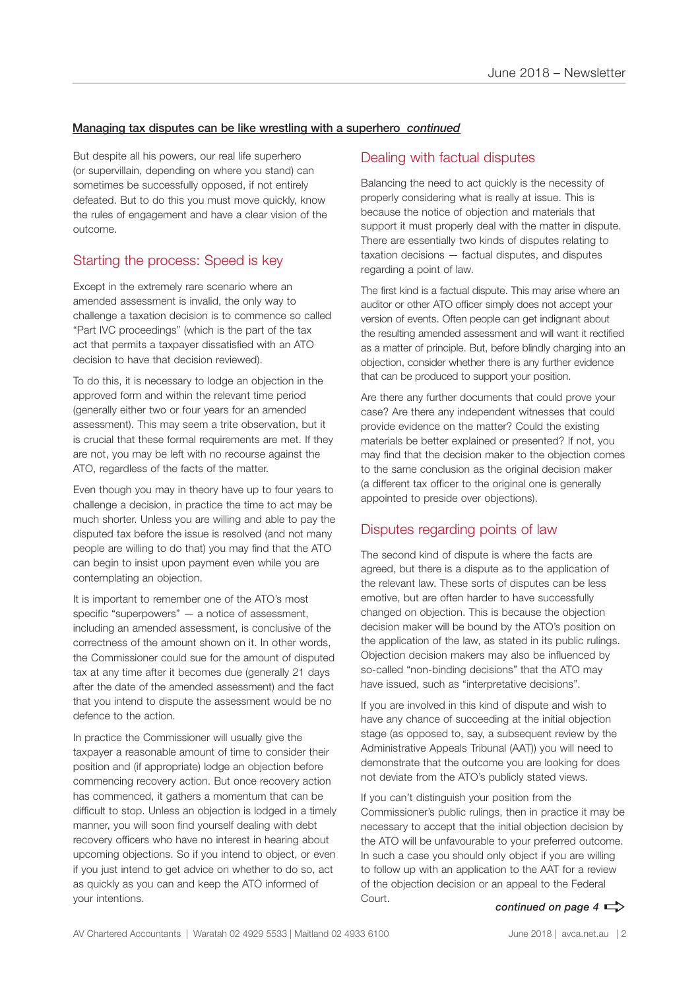## Managing tax disputes can be like wrestling with a superhero *continued*

But despite all his powers, our real life superhero (or supervillain, depending on where you stand) can sometimes be successfully opposed, if not entirely defeated. But to do this you must move quickly, know the rules of engagement and have a clear vision of the outcome.

# Starting the process: Speed is key

Except in the extremely rare scenario where an amended assessment is invalid, the only way to challenge a taxation decision is to commence so called "Part IVC proceedings" (which is the part of the tax act that permits a taxpayer dissatisfied with an ATO decision to have that decision reviewed).

To do this, it is necessary to lodge an objection in the approved form and within the relevant time period (generally either two or four years for an amended assessment). This may seem a trite observation, but it is crucial that these formal requirements are met. If they are not, you may be left with no recourse against the ATO, regardless of the facts of the matter.

Even though you may in theory have up to four years to challenge a decision, in practice the time to act may be much shorter. Unless you are willing and able to pay the disputed tax before the issue is resolved (and not many people are willing to do that) you may find that the ATO can begin to insist upon payment even while you are contemplating an objection.

It is important to remember one of the ATO's most specific "superpowers" — a notice of assessment, including an amended assessment, is conclusive of the correctness of the amount shown on it. In other words, the Commissioner could sue for the amount of disputed tax at any time after it becomes due (generally 21 days after the date of the amended assessment) and the fact that you intend to dispute the assessment would be no defence to the action.

In practice the Commissioner will usually give the taxpayer a reasonable amount of time to consider their position and (if appropriate) lodge an objection before commencing recovery action. But once recovery action has commenced, it gathers a momentum that can be difficult to stop. Unless an objection is lodged in a timely manner, you will soon find yourself dealing with debt recovery officers who have no interest in hearing about upcoming objections. So if you intend to object, or even if you just intend to get advice on whether to do so, act as quickly as you can and keep the ATO informed of your intentions.

# Dealing with factual disputes

Balancing the need to act quickly is the necessity of properly considering what is really at issue. This is because the notice of objection and materials that support it must properly deal with the matter in dispute. There are essentially two kinds of disputes relating to taxation decisions — factual disputes, and disputes regarding a point of law.

The first kind is a factual dispute. This may arise where an auditor or other ATO officer simply does not accept your version of events. Often people can get indignant about the resulting amended assessment and will want it rectified as a matter of principle. But, before blindly charging into an objection, consider whether there is any further evidence that can be produced to support your position.

Are there any further documents that could prove your case? Are there any independent witnesses that could provide evidence on the matter? Could the existing materials be better explained or presented? If not, you may find that the decision maker to the objection comes to the same conclusion as the original decision maker (a different tax officer to the original one is generally appointed to preside over objections).

# Disputes regarding points of law

The second kind of dispute is where the facts are agreed, but there is a dispute as to the application of the relevant law. These sorts of disputes can be less emotive, but are often harder to have successfully changed on objection. This is because the objection decision maker will be bound by the ATO's position on the application of the law, as stated in its public rulings. Objection decision makers may also be influenced by so-called "non-binding decisions" that the ATO may have issued, such as "interpretative decisions".

If you are involved in this kind of dispute and wish to have any chance of succeeding at the initial objection stage (as opposed to, say, a subsequent review by the Administrative Appeals Tribunal (AAT)) you will need to demonstrate that the outcome you are looking for does not deviate from the ATO's publicly stated views.

If you can't distinguish your position from the Commissioner's public rulings, then in practice it may be necessary to accept that the initial objection decision by the ATO will be unfavourable to your preferred outcome. In such a case you should only object if you are willing to follow up with an application to the AAT for a review of the objection decision or an appeal to the Federal Court.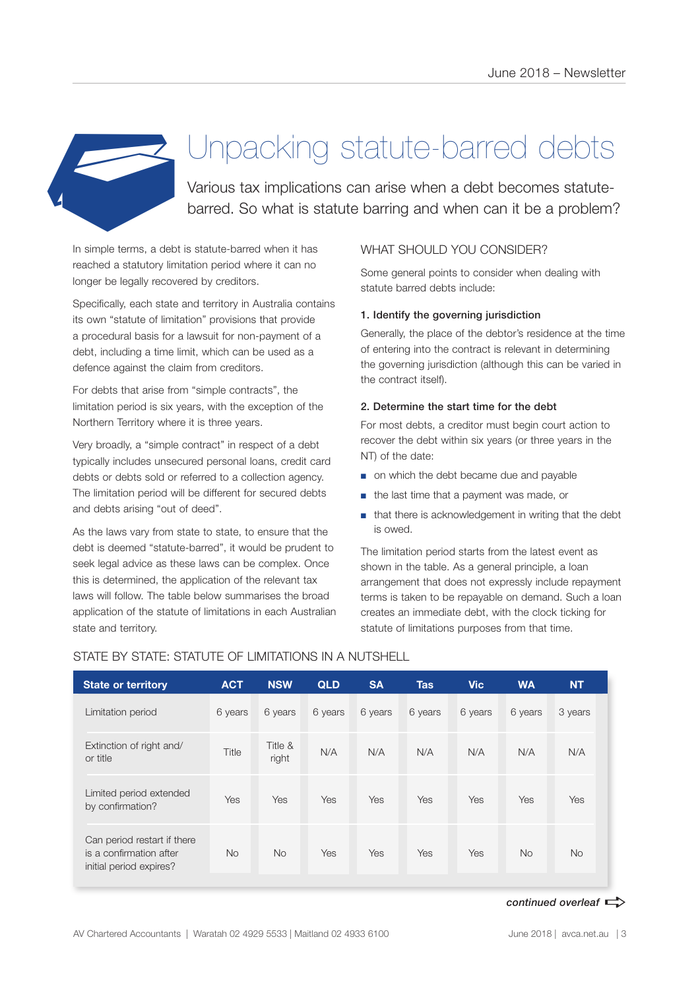

# Unpacking statute-barred debts

Various tax implications can arise when a debt becomes statutebarred. So what is statute barring and when can it be a problem?

In simple terms, a debt is statute-barred when it has reached a statutory limitation period where it can no longer be legally recovered by creditors.

Specifically, each state and territory in Australia contains its own "statute of limitation" provisions that provide a procedural basis for a lawsuit for non-payment of a debt, including a time limit, which can be used as a defence against the claim from creditors.

For debts that arise from "simple contracts", the limitation period is six years, with the exception of the Northern Territory where it is three years.

Very broadly, a "simple contract" in respect of a debt typically includes unsecured personal loans, credit card debts or debts sold or referred to a collection agency. The limitation period will be different for secured debts and debts arising "out of deed".

As the laws vary from state to state, to ensure that the debt is deemed "statute-barred", it would be prudent to seek legal advice as these laws can be complex. Once this is determined, the application of the relevant tax laws will follow. The table below summarises the broad application of the statute of limitations in each Australian state and territory.

# WHAT SHOULD YOU CONSIDER?

Some general points to consider when dealing with statute barred debts include:

#### 1. Identify the governing jurisdiction

Generally, the place of the debtor's residence at the time of entering into the contract is relevant in determining the governing jurisdiction (although this can be varied in the contract itself).

#### 2. Determine the start time for the debt

For most debts, a creditor must begin court action to recover the debt within six years (or three years in the NT) of the date:

- on which the debt became due and payable
- the last time that a payment was made, or
- that there is acknowledgement in writing that the debt is owed.

The limitation period starts from the latest event as shown in the table. As a general principle, a loan arrangement that does not expressly include repayment terms is taken to be repayable on demand. Such a loan creates an immediate debt, with the clock ticking for statute of limitations purposes from that time.

| <b>State or territory</b>                                                         | <b>ACT</b> | <b>NSW</b>       | <b>QLD</b> | <b>SA</b> | <b>Tas</b> | <b>Vic</b> | <b>WA</b> | <b>NT</b> |
|-----------------------------------------------------------------------------------|------------|------------------|------------|-----------|------------|------------|-----------|-----------|
| Limitation period                                                                 | 6 years    | 6 years          | 6 years    | 6 years   | 6 years    | 6 years    | 6 years   | 3 years   |
| Extinction of right and/<br>or title                                              | Title      | Title &<br>right | N/A        | N/A       | N/A        | N/A        | N/A       | N/A       |
| Limited period extended<br>by confirmation?                                       | Yes        | Yes              | Yes        | Yes       | Yes        | Yes        | Yes       | Yes       |
| Can period restart if there<br>is a confirmation after<br>initial period expires? | <b>No</b>  | <b>No</b>        | Yes        | Yes       | Yes        | Yes        | <b>No</b> | <b>No</b> |

## STATE BY STATE: STATUTE OF LIMITATIONS IN A NUTSHELL

*continued overleaf*  $\Rightarrow$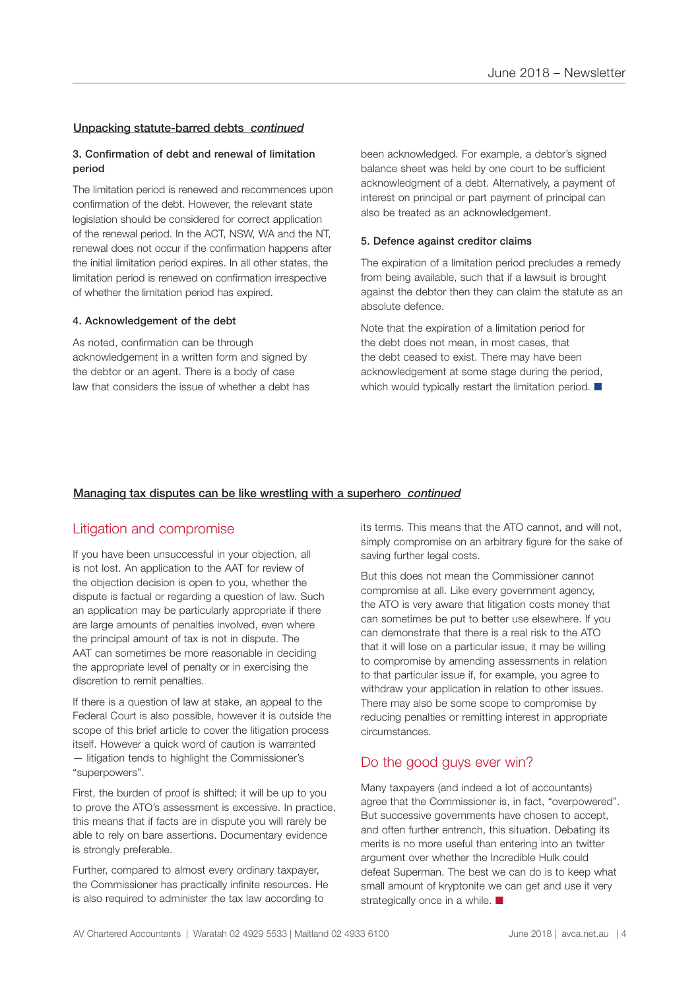#### Unpacking statute-barred debts *continued*

#### 3. Confirmation of debt and renewal of limitation period

The limitation period is renewed and recommences upon confirmation of the debt. However, the relevant state legislation should be considered for correct application of the renewal period. In the ACT, NSW, WA and the NT, renewal does not occur if the confirmation happens after the initial limitation period expires. In all other states, the limitation period is renewed on confirmation irrespective of whether the limitation period has expired.

#### 4. Acknowledgement of the debt

As noted, confirmation can be through acknowledgement in a written form and signed by the debtor or an agent. There is a body of case law that considers the issue of whether a debt has been acknowledged. For example, a debtor's signed balance sheet was held by one court to be sufficient acknowledgment of a debt. Alternatively, a payment of interest on principal or part payment of principal can also be treated as an acknowledgement.

#### 5. Defence against creditor claims

The expiration of a limitation period precludes a remedy from being available, such that if a lawsuit is brought against the debtor then they can claim the statute as an absolute defence.

Note that the expiration of a limitation period for the debt does not mean, in most cases, that the debt ceased to exist. There may have been acknowledgement at some stage during the period, which would typically restart the limitation period.  $\blacksquare$ 

#### Managing tax disputes can be like wrestling with a superhero *continued*

# Litigation and compromise

If you have been unsuccessful in your objection, all is not lost. An application to the AAT for review of the objection decision is open to you, whether the dispute is factual or regarding a question of law. Such an application may be particularly appropriate if there are large amounts of penalties involved, even where the principal amount of tax is not in dispute. The AAT can sometimes be more reasonable in deciding the appropriate level of penalty or in exercising the discretion to remit penalties.

If there is a question of law at stake, an appeal to the Federal Court is also possible, however it is outside the scope of this brief article to cover the litigation process itself. However a quick word of caution is warranted — litigation tends to highlight the Commissioner's "superpowers".

First, the burden of proof is shifted; it will be up to you to prove the ATO's assessment is excessive. In practice, this means that if facts are in dispute you will rarely be able to rely on bare assertions. Documentary evidence is strongly preferable.

Further, compared to almost every ordinary taxpayer, the Commissioner has practically infinite resources. He is also required to administer the tax law according to

its terms. This means that the ATO cannot, and will not, simply compromise on an arbitrary figure for the sake of saving further legal costs.

But this does not mean the Commissioner cannot compromise at all. Like every government agency, the ATO is very aware that litigation costs money that can sometimes be put to better use elsewhere. If you can demonstrate that there is a real risk to the ATO that it will lose on a particular issue, it may be willing to compromise by amending assessments in relation to that particular issue if, for example, you agree to withdraw your application in relation to other issues. There may also be some scope to compromise by reducing penalties or remitting interest in appropriate circumstances.

# Do the good guys ever win?

Many taxpayers (and indeed a lot of accountants) agree that the Commissioner is, in fact, "overpowered". But successive governments have chosen to accept, and often further entrench, this situation. Debating its merits is no more useful than entering into an twitter argument over whether the Incredible Hulk could defeat Superman. The best we can do is to keep what small amount of kryptonite we can get and use it very strategically once in a while.  $\blacksquare$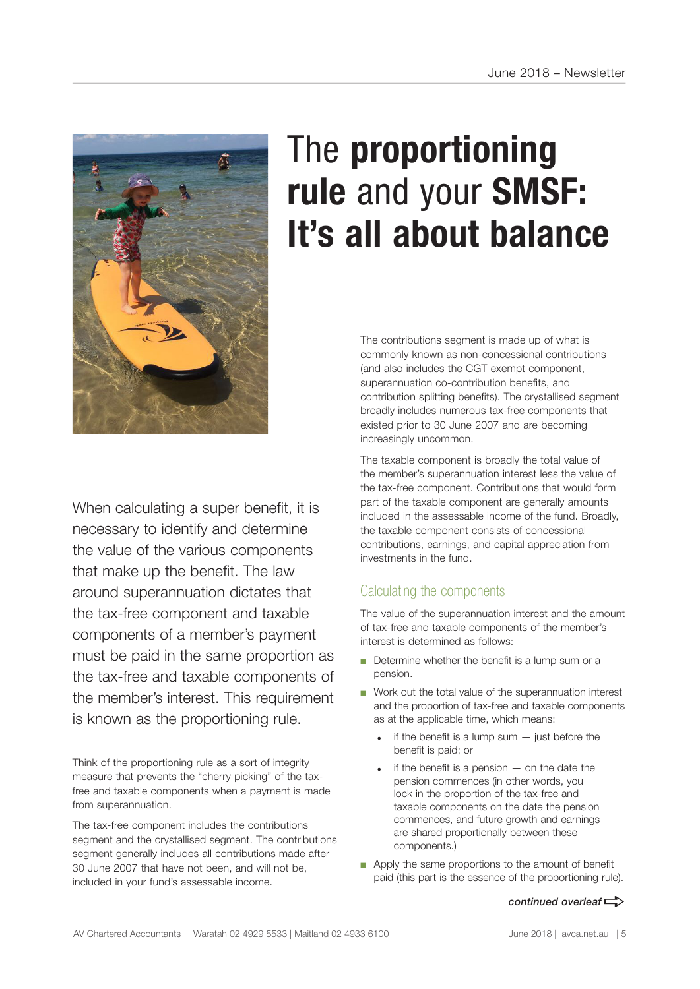

# The **proportioning rule** and your **SMSF: It's all about balance**

The contributions segment is made up of what is commonly known as non-concessional contributions (and also includes the CGT exempt component, superannuation co-contribution benefits, and contribution splitting benefits). The crystallised segment broadly includes numerous tax-free components that existed prior to 30 June 2007 and are becoming increasingly uncommon.

The taxable component is broadly the total value of the member's superannuation interest less the value of the tax-free component. Contributions that would form part of the taxable component are generally amounts included in the assessable income of the fund. Broadly, the taxable component consists of concessional contributions, earnings, and capital appreciation from investments in the fund.

# Calculating the components

The value of the superannuation interest and the amount of tax-free and taxable components of the member's interest is determined as follows:

- Determine whether the benefit is a lump sum or a pension.
- Work out the total value of the superannuation interest and the proportion of tax-free and taxable components as at the applicable time, which means:
	- if the benefit is a lump sum  $-$  just before the benefit is paid; or
	- if the benefit is a pension  $-$  on the date the pension commences (in other words, you lock in the proportion of the tax-free and taxable components on the date the pension commences, and future growth and earnings are shared proportionally between these components.)
- Apply the same proportions to the amount of benefit paid (this part is the essence of the proportioning rule).

#### *continued overleaf* $\Rightarrow$

necessary to identify and determine the value of the various components that make up the benefit. The law around superannuation dictates that the tax-free component and taxable components of a member's payment must be paid in the same proportion as the tax-free and taxable components of the member's interest. This requirement is known as the proportioning rule.

When calculating a super benefit, it is

Think of the proportioning rule as a sort of integrity measure that prevents the "cherry picking" of the taxfree and taxable components when a payment is made from superannuation.

The tax-free component includes the contributions segment and the crystallised segment. The contributions segment generally includes all contributions made after 30 June 2007 that have not been, and will not be, included in your fund's assessable income.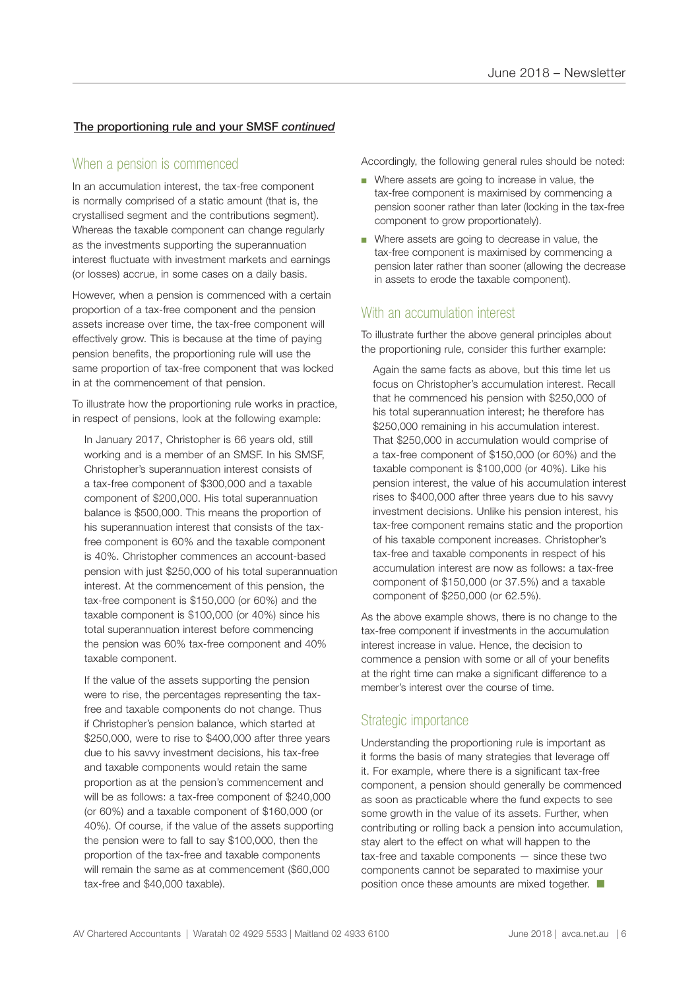## The proportioning rule and your SMSF *continued*

# When a pension is commenced

In an accumulation interest, the tax-free component is normally comprised of a static amount (that is, the crystallised segment and the contributions segment). Whereas the taxable component can change regularly as the investments supporting the superannuation interest fluctuate with investment markets and earnings (or losses) accrue, in some cases on a daily basis.

However, when a pension is commenced with a certain proportion of a tax-free component and the pension assets increase over time, the tax-free component will effectively grow. This is because at the time of paying pension benefits, the proportioning rule will use the same proportion of tax-free component that was locked in at the commencement of that pension.

To illustrate how the proportioning rule works in practice, in respect of pensions, look at the following example:

In January 2017, Christopher is 66 years old, still working and is a member of an SMSF. In his SMSF, Christopher's superannuation interest consists of a tax-free component of \$300,000 and a taxable component of \$200,000. His total superannuation balance is \$500,000. This means the proportion of his superannuation interest that consists of the taxfree component is 60% and the taxable component is 40%. Christopher commences an account-based pension with just \$250,000 of his total superannuation interest. At the commencement of this pension, the tax-free component is \$150,000 (or 60%) and the taxable component is \$100,000 (or 40%) since his total superannuation interest before commencing the pension was 60% tax-free component and 40% taxable component.

If the value of the assets supporting the pension were to rise, the percentages representing the taxfree and taxable components do not change. Thus if Christopher's pension balance, which started at \$250,000, were to rise to \$400,000 after three years due to his savvy investment decisions, his tax-free and taxable components would retain the same proportion as at the pension's commencement and will be as follows: a tax-free component of \$240,000 (or 60%) and a taxable component of \$160,000 (or 40%). Of course, if the value of the assets supporting the pension were to fall to say \$100,000, then the proportion of the tax-free and taxable components will remain the same as at commencement (\$60,000 tax-free and \$40,000 taxable).

Accordingly, the following general rules should be noted:

- Where assets are going to increase in value, the tax-free component is maximised by commencing a pension sooner rather than later (locking in the tax-free component to grow proportionately).
- Where assets are going to decrease in value, the tax-free component is maximised by commencing a pension later rather than sooner (allowing the decrease in assets to erode the taxable component).

# With an accumulation interest

To illustrate further the above general principles about the proportioning rule, consider this further example:

Again the same facts as above, but this time let us focus on Christopher's accumulation interest. Recall that he commenced his pension with \$250,000 of his total superannuation interest; he therefore has \$250,000 remaining in his accumulation interest. That \$250,000 in accumulation would comprise of a tax-free component of \$150,000 (or 60%) and the taxable component is \$100,000 (or 40%). Like his pension interest, the value of his accumulation interest rises to \$400,000 after three years due to his savvy investment decisions. Unlike his pension interest, his tax-free component remains static and the proportion of his taxable component increases. Christopher's tax-free and taxable components in respect of his accumulation interest are now as follows: a tax-free component of \$150,000 (or 37.5%) and a taxable component of \$250,000 (or 62.5%).

As the above example shows, there is no change to the tax-free component if investments in the accumulation interest increase in value. Hence, the decision to commence a pension with some or all of your benefits at the right time can make a significant difference to a member's interest over the course of time.

# Strategic importance

Understanding the proportioning rule is important as it forms the basis of many strategies that leverage off it. For example, where there is a significant tax-free component, a pension should generally be commenced as soon as practicable where the fund expects to see some growth in the value of its assets. Further, when contributing or rolling back a pension into accumulation, stay alert to the effect on what will happen to the tax-free and taxable components — since these two components cannot be separated to maximise your position once these amounts are mixed together.  $\Box$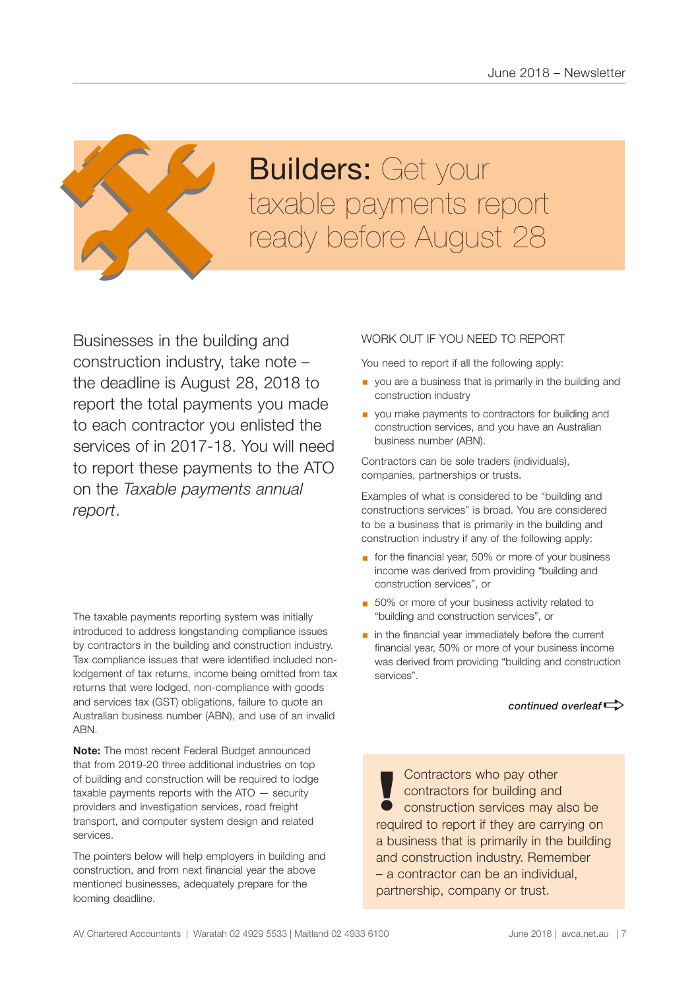

# **Builders: Get your Builders:** Get your<br>taxable payments report<br>ready before August 28

Businesses in the building and construction industry, take note – the deadline is August 28, 2018 to report the total payments you made to each contractor you enlisted the services of in 2017-18. You will need to report these payments to the ATO on the *Taxable payments annual report*.

The taxable payments reporting system was initially introduced to address longstanding compliance issues by contractors in the building and construction industry. Tax compliance issues that were identified included nonlodgement of tax returns, income being omitted from tax returns that were lodged, non-compliance with goods and services tax (GST) obligations, failure to quote an Australian business number (ABN), and use of an invalid ABN.

**Note:** The most recent Federal Budget announced that from 2019-20 three additional industries on top of building and construction will be required to lodge taxable payments reports with the ATO — security providers and investigation services, road freight transport, and computer system design and related services.

The pointers below will help employers in building and construction, and from next financial year the above mentioned businesses, adequately prepare for the looming deadline.

# WORK OUT IF YOU NEED TO REPORT

You need to report if all the following apply:

- **•** you are a business that is primarily in the building and construction industry
- **•** you make payments to contractors for building and construction services, and you have an Australian business number (ABN).

Contractors can be sole traders (individuals), companies, partnerships or trusts.

Examples of what is considered to be "building and constructions services" is broad. You are considered to be a business that is primarily in the building and construction industry if any of the following apply:

- for the financial year, 50% or more of your business income was derived from providing "building and construction services", or
- 50% or more of your business activity related to "building and construction services", or
- in the financial year immediately before the current financial year, 50% or more of your business income was derived from providing "building and construction services".

*continued overleaf* $\Rightarrow$ 

Contractors who pay other contractors for building and **!** construction services may also be required to report if they are carrying on a business that is primarily in the building and construction industry. Remember – a contractor can be an individual, partnership, company or trust.